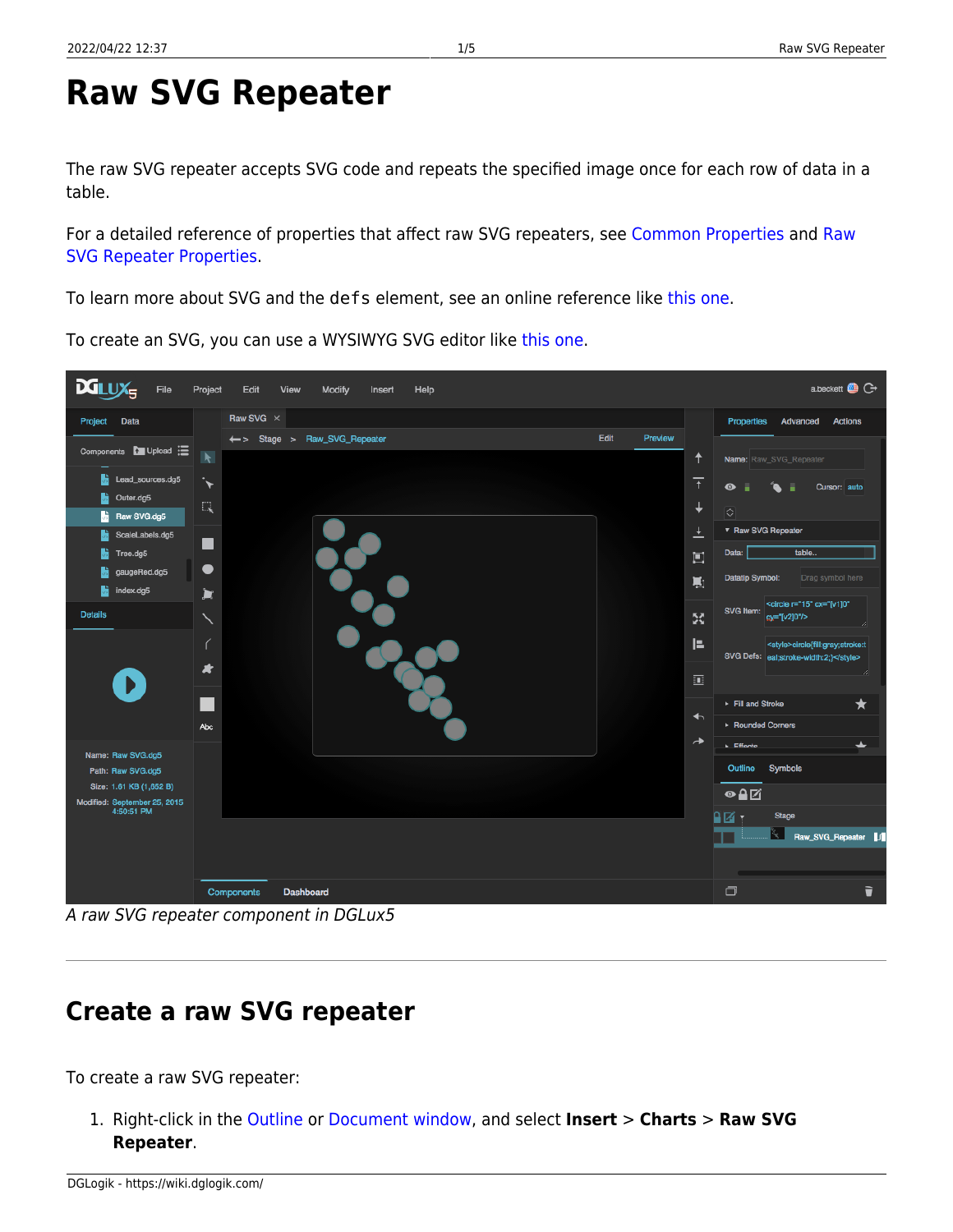# <span id="page-0-0"></span>**Raw SVG Repeater**

The raw SVG repeater accepts SVG code and repeats the specified image once for each row of data in a table.

For a detailed reference of properties that affect raw SVG repeaters, see [Common Properties](https://wiki.dglogik.com/dglux5_wiki:widgets_and_property_inspector:property_inspector:allcomponents:home) and [Raw](https://wiki.dglogik.com/dglux5_wiki:widgets_and_property_inspector:property_inspector:rawsvgrepeater:home) [SVG Repeater Properties](https://wiki.dglogik.com/dglux5_wiki:widgets_and_property_inspector:property_inspector:rawsvgrepeater:home).

To learn more about SVG and the defs element, see an online reference like [this one.](https://developer.mozilla.org/en-US/docs/Web/SVG/Element/svg)

To create an SVG, you can use a WYSIWYG SVG editor like [this one](http://svg-edit.googlecode.com/svn/branches/stable/editor/svg-editor.html).

**Create a raw SVG repeater**

## To create a raw SVG repeater:

1. Right-click in the [Outline](https://wiki.dglogik.com/dglux5_wiki:workspace_and_workflow:panels_and_menus:outline) or [Document window](https://wiki.dglogik.com/dglux5_wiki:workspace_and_workflow:panels_and_menus:document_window), and select **Insert** > **Charts** > **Raw SVG Repeater**.

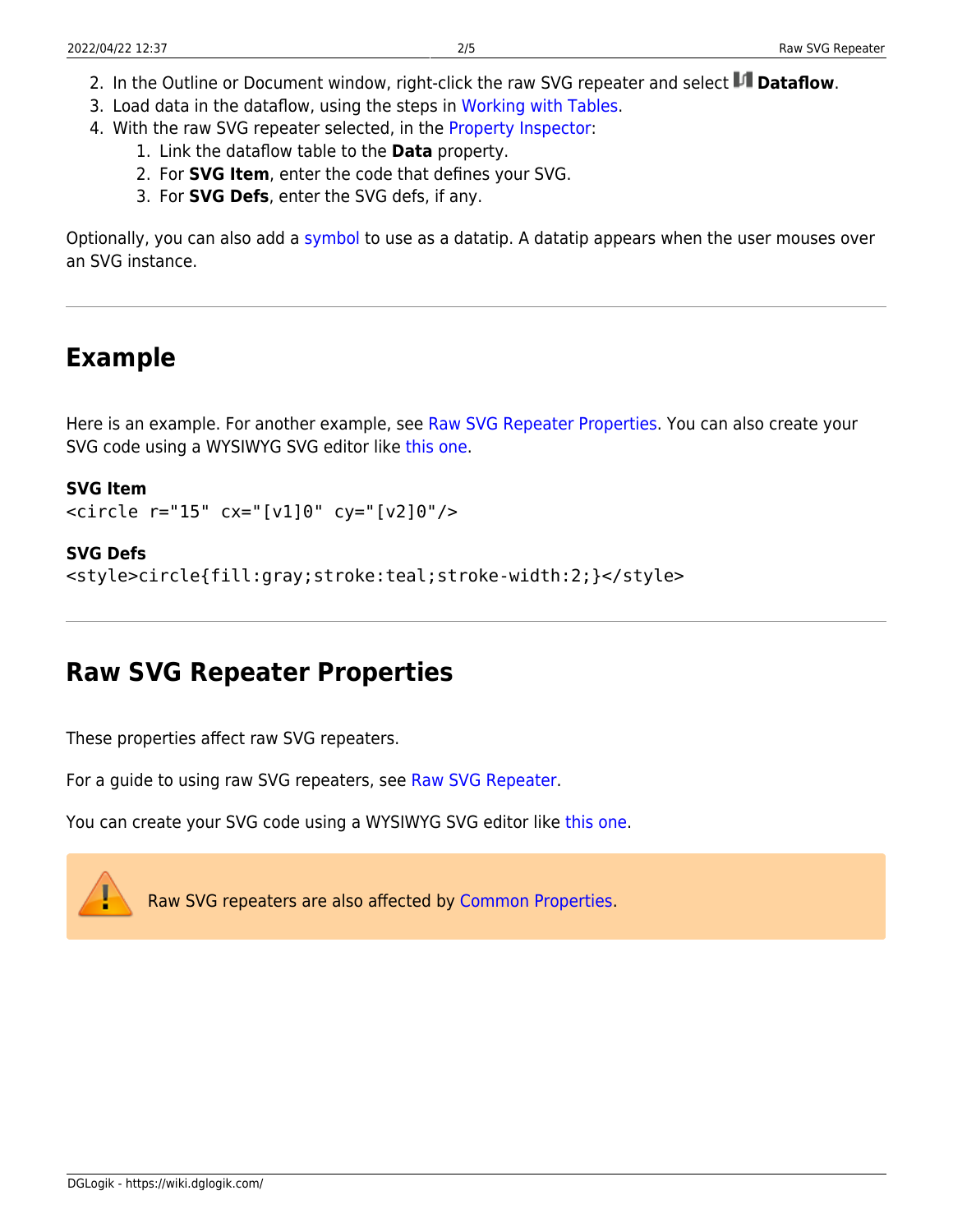- 2. In the Outline or Document window, right-click the raw SVG repeater and select **Detaflow**.
- 3. Load data in the dataflow, using the steps in [Working with Tables](https://wiki.dglogik.com/dglux5_wiki:dataflow:working_with_tables:home).
- 4. With the raw SVG repeater selected, in the [Property Inspector](https://wiki.dglogik.com/dglux5_wiki:workspace_and_workflow:panels_and_menus:properties_panel):
	- 1. Link the dataflow table to the **Data** property.
	- 2. For **SVG Item**, enter the code that defines your SVG.
	- 3. For **SVG Defs**, enter the SVG defs, if any.

Optionally, you can also add a [symbol](https://wiki.dglogik.com/dglux5_wiki:widgets_and_property_inspector:components:symbols:home) to use as a datatip. A datatip appears when the user mouses over an SVG instance.

## **Example**

Here is an example. For another example, see [Raw SVG Repeater Properties](https://wiki.dglogik.com/dglux5_wiki:widgets_and_property_inspector:property_inspector:rawsvgrepeater:home). You can also create your SVG code using a WYSIWYG SVG editor like [this one](http://svg-edit.googlecode.com/svn/branches/stable/editor/svg-editor.html).

#### **SVG Item**

```
<circle r="15" cx="[v1]0" cy="[v2]0"/>
```
#### **SVG Defs**

```
<style>circle{fill:gray;stroke:teal;stroke-width:2;}</style>
```
## **Raw SVG Repeater Properties**

These properties affect raw SVG repeaters.

For a guide to using raw SVG repeaters, see [Raw SVG Repeater.](#page-0-0)

You can create your SVG code using a WYSIWYG SVG editor like [this one.](http://svg-edit.googlecode.com/svn/branches/stable/editor/svg-editor.html)

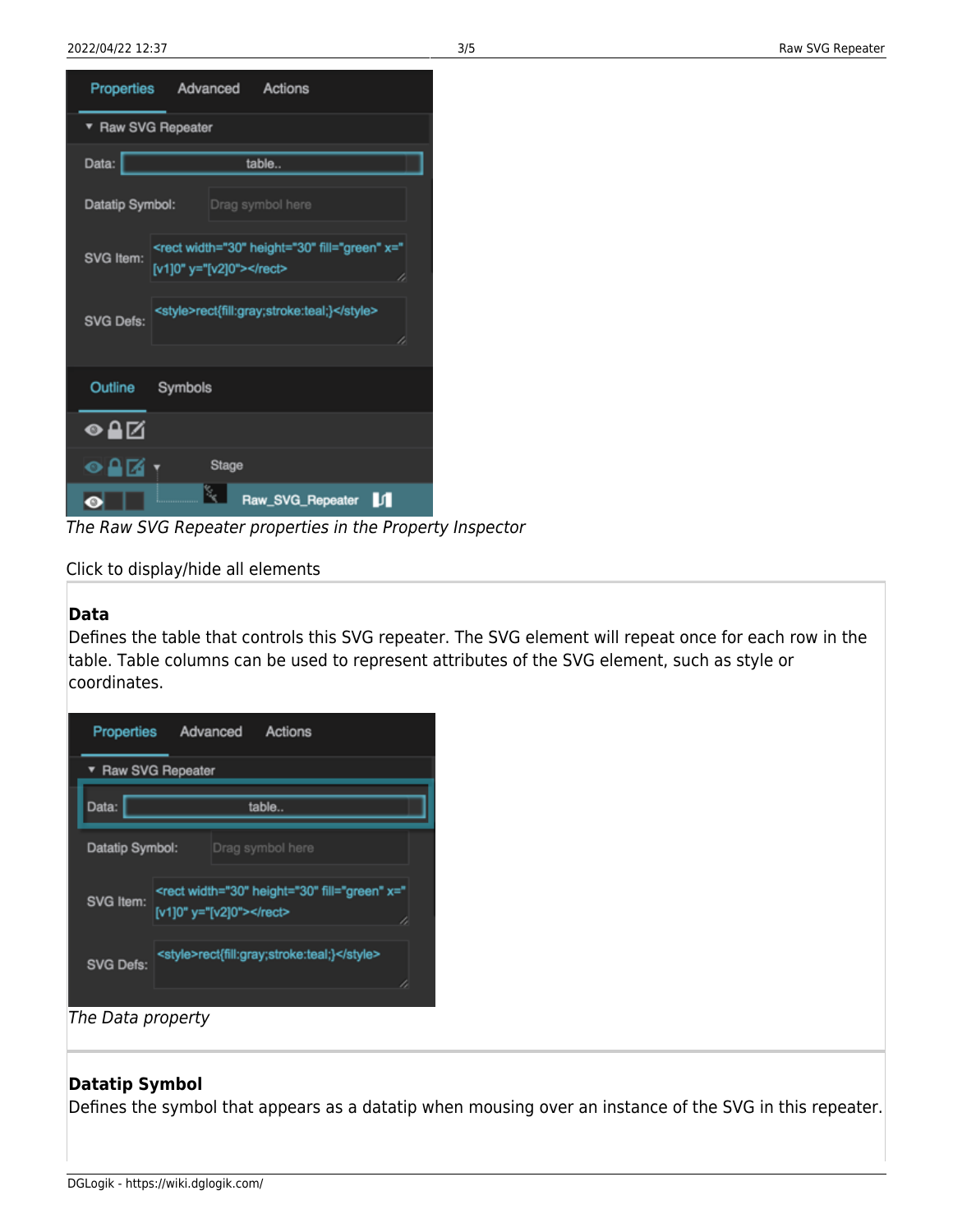| Properties<br>Actions<br>Advanced                                                                  |  |  |
|----------------------------------------------------------------------------------------------------|--|--|
| ▼ Raw SVG Repeater                                                                                 |  |  |
| Data:<br>table                                                                                     |  |  |
| Datatip Symbol:<br>Drag symbol here                                                                |  |  |
| <rect fill="green" height="30" width="30" x="&lt;br&gt;SVG Item:&lt;br&gt;[v1]0" y="[v2]0"></rect> |  |  |
| <style>rect{fill:gray;stroke:teal;}</style><br><b>SVG Defs:</b>                                    |  |  |
| Outline<br>Symbols                                                                                 |  |  |
| ●≙⊠                                                                                                |  |  |
| Stage<br>⊙≏                                                                                        |  |  |
| r.<br>K<br>Raw_SVG_Repeater<br>И<br>$\bullet$                                                      |  |  |

The Raw SVG Repeater properties in the Property Inspector

Click to display/hide all elements

#### **Data**

Defines the table that controls this SVG repeater. The SVG element will repeat once for each row in the table. Table columns can be used to represent attributes of the SVG element, such as style or coordinates.

| <b>Properties</b> | Advanced<br>Actions                                                             |
|-------------------|---------------------------------------------------------------------------------|
| Raw SVG Repeater  |                                                                                 |
| Data:             | table                                                                           |
| Datatip Symbol:   | Drag symbol here                                                                |
| SVG Item:         | <rect fill="green" height="30" width="30" x="&lt;br&gt;[v1]0" y="[v2]0"></rect> |
| <b>SVG Defs:</b>  | <style>rect{fill:gray;stroke:teal;}</style><br>1,                               |

#### The Data property

#### **Datatip Symbol**

Defines the symbol that appears as a datatip when mousing over an instance of the SVG in this repeater.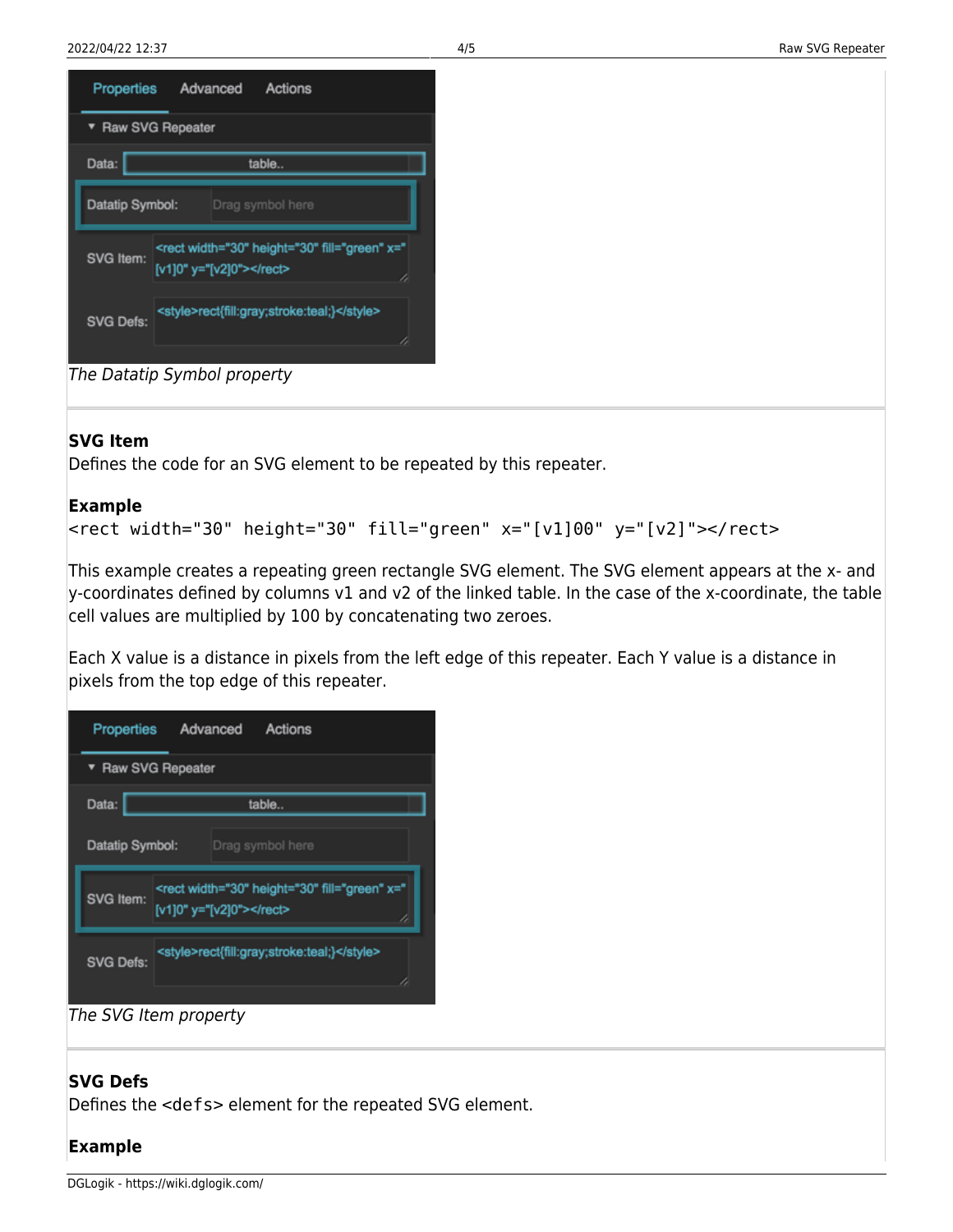





#### **SVG Item**

Defines the code for an SVG element to be repeated by this repeater.

#### **Example**

```
<rect width="30" height="30" fill="green" x="[v1]00" y="[v2]"></rect>
```
This example creates a repeating green rectangle SVG element. The SVG element appears at the x- and y-coordinates defined by columns v1 and v2 of the linked table. In the case of the x-coordinate, the table cell values are multiplied by 100 by concatenating two zeroes.

Each X value is a distance in pixels from the left edge of this repeater. Each Y value is a distance in pixels from the top edge of this repeater.



The SVG Item property

#### **SVG Defs**

Defines the <defs> element for the repeated SVG element.

#### **Example**